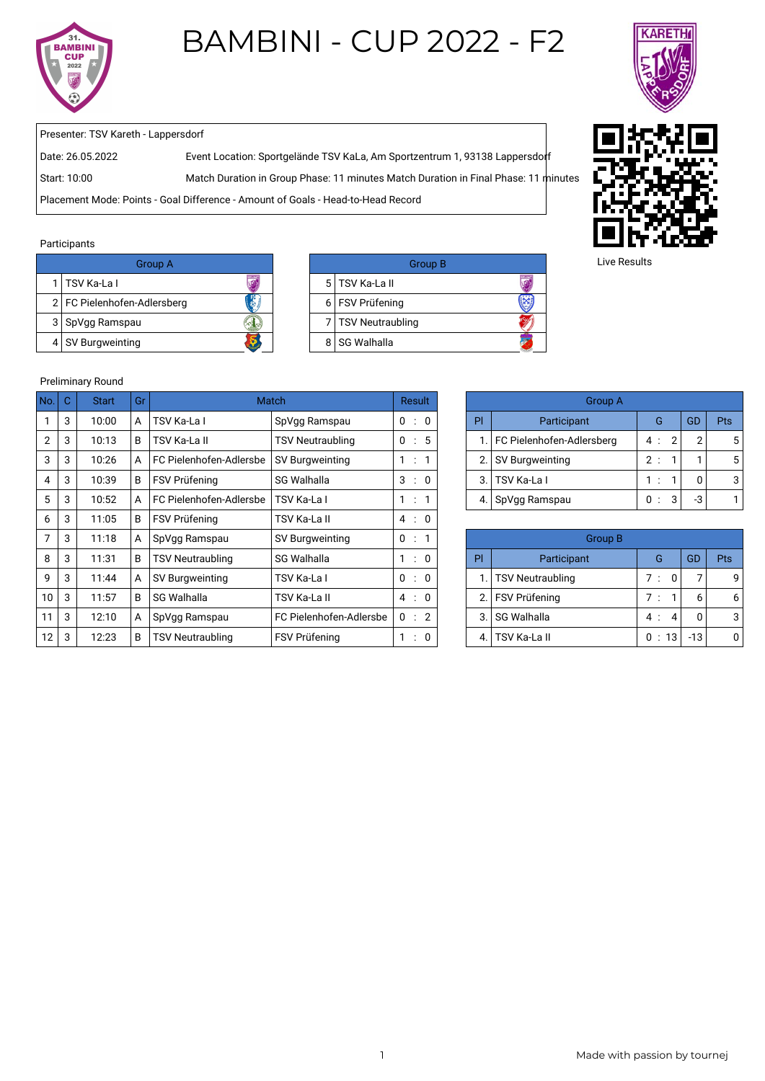

# BAMBINI - CUP 2022 - F2



Presenter: TSV Kareth - Lappersdorf

Date: 26.05.2022 Event Location: Sportgelände TSV KaLa, Am Sportzentrum 1, 93138 Lappersdorf

Start: 10:00 Match Duration in Group Phase: 11 minutes Match Duration in Final Phase: 11 minutes

Placement Mode: Points - Goal Difference - Amount of Goals - Head-to-Head Record

#### Participants

| Group A                       |  | G                    |
|-------------------------------|--|----------------------|
| 1   TSV Ka-La I               |  | 5   TSV Ka-La II     |
| 2   FC Pielenhofen-Adlersberg |  | 6 FSV Prüfening      |
| 3 SpVgg Ramspau               |  | 7   TSV Neutraubling |
| Ş<br>4 SV Burgweinting        |  | 8 SG Walhalla        |

| Group A    |  | <b>Group B</b>       |  |
|------------|--|----------------------|--|
|            |  | 5 TSV Ka-La II       |  |
| Adlersberg |  | 6   FSV Prüfening    |  |
|            |  | 7   TSV Neutraubling |  |
|            |  | 8 SG Walhalla        |  |



Live Results

## Preliminary Round

| No.            | $\mathbf C$ | <b>Start</b> | Gr |                         | <b>Match</b>            |                           | Result               | <b>Group A</b>                |                              |                       |       |            |
|----------------|-------------|--------------|----|-------------------------|-------------------------|---------------------------|----------------------|-------------------------------|------------------------------|-----------------------|-------|------------|
|                | 3           | 10:00        | A  | TSV Ka-La I             | SpVgg Ramspau           | 0:                        | $\overline{0}$       | PI                            | Participant                  | G                     | GD    | Pts        |
| 2              | 3           | 10:13        | B  | TSV Ka-La II            | <b>TSV Neutraubling</b> | 0<br>$\cdot$ :            | 5                    |                               | 1. FC Pielenhofen-Adlersberg | $\overline{2}$<br>4 : | 2     |            |
| 3              | 3           | 10:26        |    | FC Pielenhofen-Adlersbe | SV Burgweinting         | $\mathbf{1}$<br>$\sim$ 1. |                      | 2.                            | SV Burgweinting              | 2:                    |       |            |
| 4              | 3           | 10:39        | B  | FSV Prüfening           | <b>SG Walhalla</b>      | 3<br>$\mathbb{R}$         | $\overline{0}$       | 3.                            | TSV Ka-La I                  | 1:                    | 0     |            |
| 5              | 3           | 10:52        | A  | FC Pielenhofen-Adlersbe | TSV Ka-La I             |                           | $\ddot{\phantom{a}}$ |                               | 4. SpVgg Ramspau             | 3<br>0:               | -3    |            |
| 6              | 3           | 11:05        | B  | FSV Prüfening           | TSV Ka-La II            | 4 : 0                     |                      |                               |                              |                       |       |            |
| $\overline{7}$ | 3           | 11:18        |    | SpVgg Ramspau           | SV Burgweinting         | $0$ :                     |                      | <b>Group B</b>                |                              |                       |       |            |
| 8              | 3           | 11:31        | B  | <b>TSV Neutraubling</b> | <b>SG Walhalla</b>      | 1:                        | $\Omega$             | PI                            | Participant                  | G                     | GD    | <b>Pts</b> |
| 9              | 3           | 11:44        |    | SV Burgweinting         | TSV Ka-La I             | 0<br>$\ddot{\phantom{a}}$ | 0                    | 1. TSV Neutraubling           |                              | 7:<br>$\mathbf 0$     |       |            |
| 10             | 3           | 11:57        | B  | <b>SG Walhalla</b>      | TSV Ka-La II            | 4 : 0                     |                      | 2.                            | <b>FSV Prüfening</b>         | 7:                    | 6     |            |
| 11             | 3           | 12:10        | A  | SpVgg Ramspau           | FC Pielenhofen-Adlersbe | 0 : 2                     |                      | SG Walhalla<br>3.<br>4<br>4 : |                              |                       | 0     |            |
| 12             | 3           | 12:23        | B  | TSV Neutraubling        | FSV Prüfening           | $\cdot$ :                 | 0                    | 0:13<br>TSV Ka-La II<br>4     |                              |                       | $-13$ |            |

|    | Group A                      |     |     |  |  |  |  |  |
|----|------------------------------|-----|-----|--|--|--|--|--|
| PI | Participant                  | GD  | Pts |  |  |  |  |  |
|    | 1. FC Pielenhofen-Adlersberg | 4:2 | ◠   |  |  |  |  |  |
|    | 2. SV Burgweinting           | 2:  |     |  |  |  |  |  |
| 3. | <b>TSV Ka-La I</b>           | 1:  |     |  |  |  |  |  |
|    | SpVgg Ramspau                | 3   | -3  |  |  |  |  |  |

|    | Group B             |      |   |     |     |  |  |  |
|----|---------------------|------|---|-----|-----|--|--|--|
| Pl | Participant         | G    |   | GD  | Pts |  |  |  |
|    | 1. TSV Neutraubling | 7:   | O |     |     |  |  |  |
|    | 2. FSV Prüfening    | 7:   |   |     |     |  |  |  |
| 3. | <b>SG Walhalla</b>  | 4 :  | 4 |     |     |  |  |  |
|    | <b>TSV Ka-La II</b> | 0:13 |   | -13 |     |  |  |  |